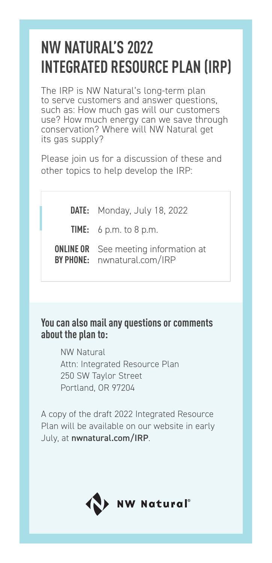## **NW NATURAL'S 2022 INTEGRATED RESOURCE PLAN (IRP)**

The IRP is NW Natural's long-term plan to serve customers and answer questions, such as: How much gas will our customers use? How much energy can we save through conservation? Where will NW Natural get its gas supply?

Please join us for a discussion of these and other topics to help develop the IRP:

**DATE:** Monday, July 18, 2022 **TIME:** 6 p.m. to 8 p.m. **ONLINE OR** See meeting information at **BY PHONE:** nwnatural.com/IRP

## **You can also mail any questions or comments about the plan to:**

NW Natural Attn: Integrated Resource Plan 250 SW Taylor Street Portland, OR 97204

A copy of the draft 2022 Integrated Resource Plan will be available on our website in early July, at nwnatural.com/IRP.